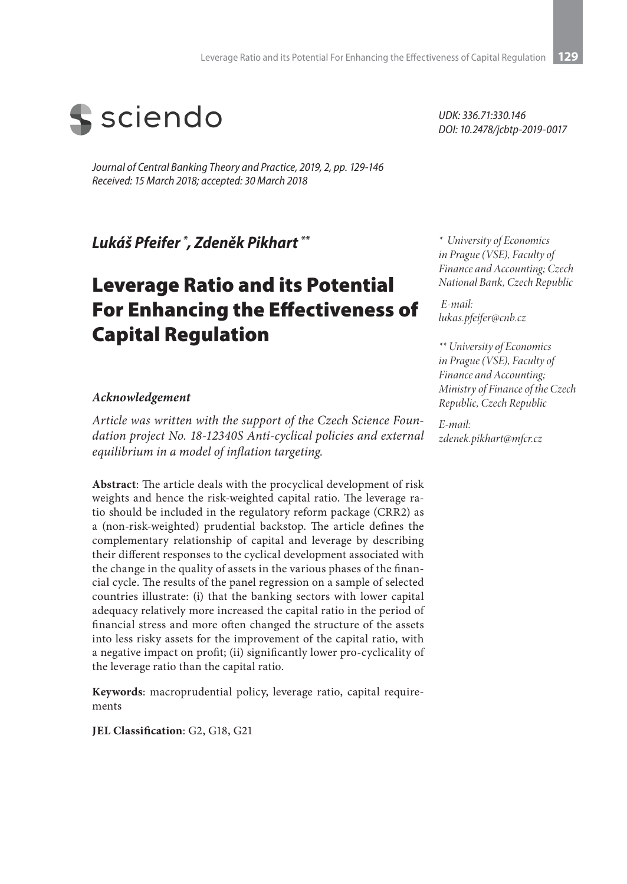

*Journal of Central Banking Theory and Practice, 2019, 2, pp. 129-146 Received: 15 March 2018; accepted: 30 March 2018*

*Lukáš Pfeifer \* , Zdeněk Pikhart \*\**

# Leverage Ratio and its Potential For Enhancing the Effectiveness of Capital Regulation

#### *Acknowledgement*

*Article was written with the support of the Czech Science Foundation project No. 18-12340S Anti-cyclical policies and external equilibrium in a model of inflation targeting.*

**Abstract**: The article deals with the procyclical development of risk weights and hence the risk-weighted capital ratio. The leverage ratio should be included in the regulatory reform package (CRR2) as a (non-risk-weighted) prudential backstop. The article defines the complementary relationship of capital and leverage by describing their different responses to the cyclical development associated with the change in the quality of assets in the various phases of the financial cycle. The results of the panel regression on a sample of selected countries illustrate: (i) that the banking sectors with lower capital adequacy relatively more increased the capital ratio in the period of financial stress and more often changed the structure of the assets into less risky assets for the improvement of the capital ratio, with a negative impact on profit; (ii) significantly lower pro-cyclicality of the leverage ratio than the capital ratio.

**Keywords**: macroprudential policy, leverage ratio, capital requirements

**JEL Classification**: G2, G18, G21

*UDK: 336.71:330.146 DOI: 10.2478/jcbtp-2019-0017*

*\* University of Economics in Prague (VSE), Faculty of Finance and Accounting; Czech National Bank, Czech Republic*

 *E-mail: lukas.pfeifer@cnb.cz*

*\*\* University of Economics in Prague (VSE), Faculty of Finance and Accounting; Ministry of Finance of the Czech Republic, Czech Republic*

*E-mail: zdenek.pikhart@mfcr.cz*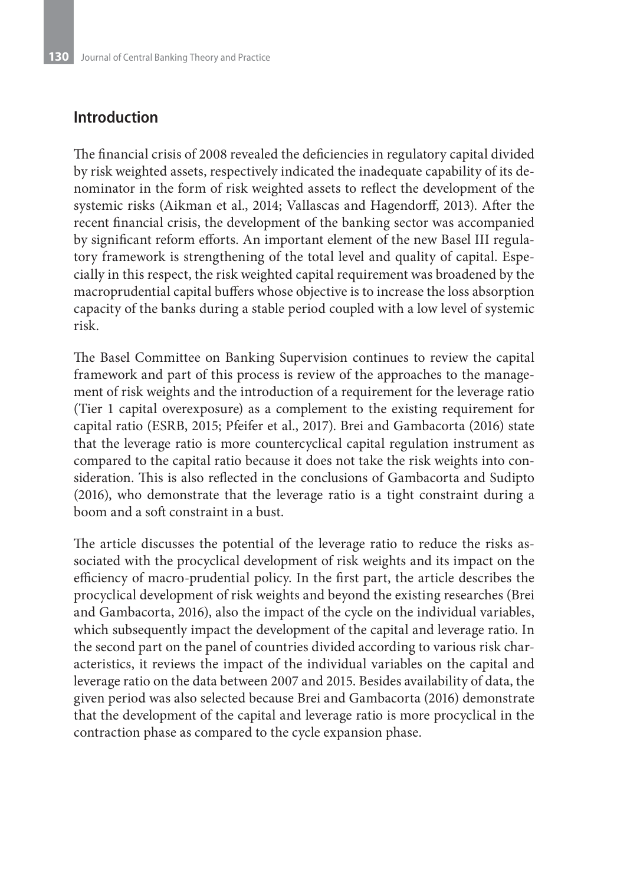### **Introduction**

The financial crisis of 2008 revealed the deficiencies in regulatory capital divided by risk weighted assets, respectively indicated the inadequate capability of its denominator in the form of risk weighted assets to reflect the development of the systemic risks (Aikman et al., 2014; Vallascas and Hagendorff, 2013). After the recent financial crisis, the development of the banking sector was accompanied by significant reform efforts. An important element of the new Basel III regulatory framework is strengthening of the total level and quality of capital. Especially in this respect, the risk weighted capital requirement was broadened by the macroprudential capital buffers whose objective is to increase the loss absorption capacity of the banks during a stable period coupled with a low level of systemic risk.

The Basel Committee on Banking Supervision continues to review the capital framework and part of this process is review of the approaches to the management of risk weights and the introduction of a requirement for the leverage ratio (Tier 1 capital overexposure) as a complement to the existing requirement for capital ratio (ESRB, 2015; Pfeifer et al., 2017). Brei and Gambacorta (2016) state that the leverage ratio is more countercyclical capital regulation instrument as compared to the capital ratio because it does not take the risk weights into consideration. This is also reflected in the conclusions of Gambacorta and Sudipto (2016), who demonstrate that the leverage ratio is a tight constraint during a boom and a soft constraint in a bust.

The article discusses the potential of the leverage ratio to reduce the risks associated with the procyclical development of risk weights and its impact on the efficiency of macro-prudential policy. In the first part, the article describes the procyclical development of risk weights and beyond the existing researches (Brei and Gambacorta, 2016), also the impact of the cycle on the individual variables, which subsequently impact the development of the capital and leverage ratio. In the second part on the panel of countries divided according to various risk characteristics, it reviews the impact of the individual variables on the capital and leverage ratio on the data between 2007 and 2015. Besides availability of data, the given period was also selected because Brei and Gambacorta (2016) demonstrate that the development of the capital and leverage ratio is more procyclical in the contraction phase as compared to the cycle expansion phase.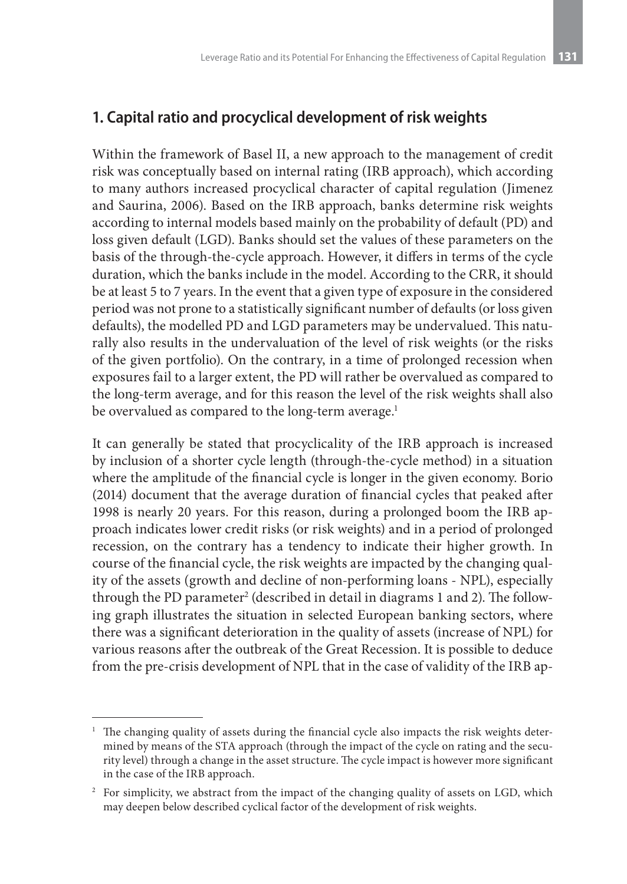# **1. Capital ratio and procyclical development of risk weights**

Within the framework of Basel II, a new approach to the management of credit risk was conceptually based on internal rating (IRB approach), which according to many authors increased procyclical character of capital regulation (Jimenez and Saurina, 2006). Based on the IRB approach, banks determine risk weights according to internal models based mainly on the probability of default (PD) and loss given default (LGD). Banks should set the values of these parameters on the basis of the through-the-cycle approach. However, it differs in terms of the cycle duration, which the banks include in the model. According to the CRR, it should be at least 5 to 7 years. In the event that a given type of exposure in the considered period was not prone to a statistically significant number of defaults (or loss given defaults), the modelled PD and LGD parameters may be undervalued. This naturally also results in the undervaluation of the level of risk weights (or the risks of the given portfolio). On the contrary, in a time of prolonged recession when exposures fail to a larger extent, the PD will rather be overvalued as compared to the long-term average, and for this reason the level of the risk weights shall also be overvalued as compared to the long-term average.<sup>1</sup>

It can generally be stated that procyclicality of the IRB approach is increased by inclusion of a shorter cycle length (through-the-cycle method) in a situation where the amplitude of the financial cycle is longer in the given economy. Borio (2014) document that the average duration of financial cycles that peaked after 1998 is nearly 20 years. For this reason, during a prolonged boom the IRB approach indicates lower credit risks (or risk weights) and in a period of prolonged recession, on the contrary has a tendency to indicate their higher growth. In course of the financial cycle, the risk weights are impacted by the changing quality of the assets (growth and decline of non-performing loans - NPL), especially through the PD parameter<sup>2</sup> (described in detail in diagrams 1 and 2). The following graph illustrates the situation in selected European banking sectors, where there was a significant deterioration in the quality of assets (increase of NPL) for various reasons after the outbreak of the Great Recession. It is possible to deduce from the pre-crisis development of NPL that in the case of validity of the IRB ap-

The changing quality of assets during the financial cycle also impacts the risk weights determined by means of the STA approach (through the impact of the cycle on rating and the security level) through a change in the asset structure. The cycle impact is however more significant in the case of the IRB approach.

<sup>&</sup>lt;sup>2</sup> For simplicity, we abstract from the impact of the changing quality of assets on LGD, which may deepen below described cyclical factor of the development of risk weights.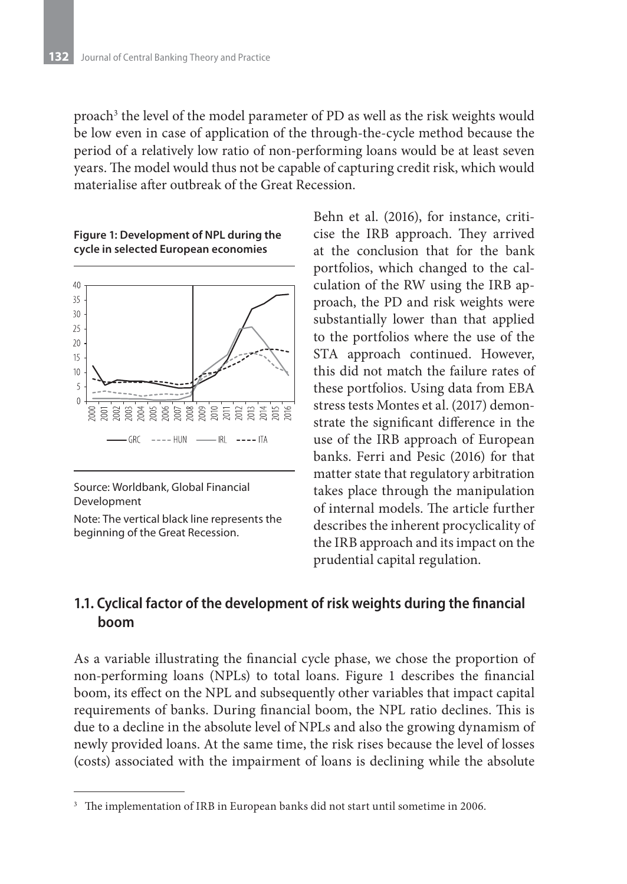proach<sup>3</sup> the level of the model parameter of PD as well as the risk weights would be low even in case of application of the through-the-cycle method because the period of a relatively low ratio of non-performing loans would be at least seven years. The model would thus not be capable of capturing credit risk, which would materialise after outbreak of the Great Recession.

**Figure 1: Development of NPL during the cycle in selected European economies**



Source: Worldbank, Global Financial Development

Note: The vertical black line represents the beginning of the Great Recession.

Behn et al. (2016), for instance, criticise the IRB approach. They arrived at the conclusion that for the bank portfolios, which changed to the calculation of the RW using the IRB approach, the PD and risk weights were substantially lower than that applied to the portfolios where the use of the STA approach continued. However, this did not match the failure rates of these portfolios. Using data from EBA stress tests Montes et al. (2017) demonstrate the significant difference in the use of the IRB approach of European banks. Ferri and Pesic (2016) for that matter state that regulatory arbitration takes place through the manipulation of internal models. The article further describes the inherent procyclicality of the IRB approach and its impact on the prudential capital regulation.

## **1.1. Cyclical factor of the development of risk weights during the financial boom**

As a variable illustrating the financial cycle phase, we chose the proportion of non-performing loans (NPLs) to total loans. Figure 1 describes the financial boom, its effect on the NPL and subsequently other variables that impact capital requirements of banks. During financial boom, the NPL ratio declines. This is due to a decline in the absolute level of NPLs and also the growing dynamism of newly provided loans. At the same time, the risk rises because the level of losses (costs) associated with the impairment of loans is declining while the absolute

<sup>&</sup>lt;sup>3</sup> The implementation of IRB in European banks did not start until sometime in 2006.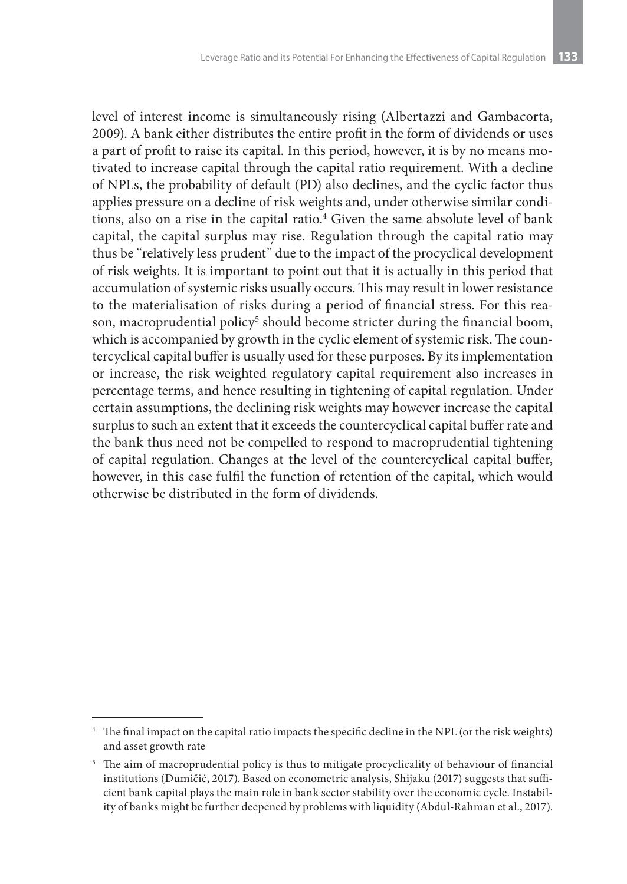level of interest income is simultaneously rising (Albertazzi and Gambacorta, 2009). A bank either distributes the entire profit in the form of dividends or uses a part of profit to raise its capital. In this period, however, it is by no means motivated to increase capital through the capital ratio requirement. With a decline of NPLs, the probability of default (PD) also declines, and the cyclic factor thus applies pressure on a decline of risk weights and, under otherwise similar conditions, also on a rise in the capital ratio.<sup>4</sup> Given the same absolute level of bank capital, the capital surplus may rise. Regulation through the capital ratio may thus be "relatively less prudent" due to the impact of the procyclical development of risk weights. It is important to point out that it is actually in this period that accumulation of systemic risks usually occurs. This may result in lower resistance to the materialisation of risks during a period of financial stress. For this reason, macroprudential policy $^5$  should become stricter during the financial boom, which is accompanied by growth in the cyclic element of systemic risk. The countercyclical capital buffer is usually used for these purposes. By its implementation or increase, the risk weighted regulatory capital requirement also increases in percentage terms, and hence resulting in tightening of capital regulation. Under certain assumptions, the declining risk weights may however increase the capital surplus to such an extent that it exceeds the countercyclical capital buffer rate and the bank thus need not be compelled to respond to macroprudential tightening of capital regulation. Changes at the level of the countercyclical capital buffer, however, in this case fulfil the function of retention of the capital, which would otherwise be distributed in the form of dividends.

<sup>4</sup> The final impact on the capital ratio impacts the specific decline in the NPL (or the risk weights) and asset growth rate

<sup>&</sup>lt;sup>5</sup> The aim of macroprudential policy is thus to mitigate procyclicality of behaviour of financial institutions (Dumičić, 2017). Based on econometric analysis, Shijaku (2017) suggests that sufficient bank capital plays the main role in bank sector stability over the economic cycle. Instability of banks might be further deepened by problems with liquidity (Abdul-Rahman et al., 2017).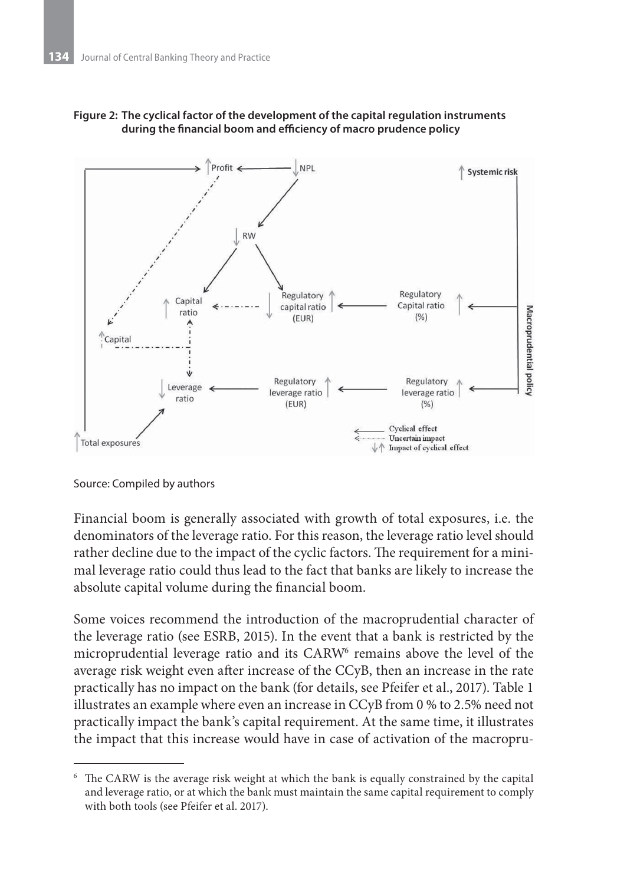



Source: Compiled by authors

Financial boom is generally associated with growth of total exposures, i.e. the denominators of the leverage ratio. For this reason, the leverage ratio level should rather decline due to the impact of the cyclic factors. The requirement for a minimal leverage ratio could thus lead to the fact that banks are likely to increase the absolute capital volume during the financial boom.

Some voices recommend the introduction of the macroprudential character of the leverage ratio (see ESRB, 2015). In the event that a bank is restricted by the microprudential leverage ratio and its CARW<sup>6</sup> remains above the level of the average risk weight even after increase of the CCyB, then an increase in the rate practically has no impact on the bank (for details, see Pfeifer et al., 2017). Table 1 illustrates an example where even an increase in CCyB from 0 % to 2.5% need not practically impact the bank's capital requirement. At the same time, it illustrates the impact that this increase would have in case of activation of the macropru-

<sup>6</sup> The CARW is the average risk weight at which the bank is equally constrained by the capital and leverage ratio, or at which the bank must maintain the same capital requirement to comply with both tools (see Pfeifer et al. 2017).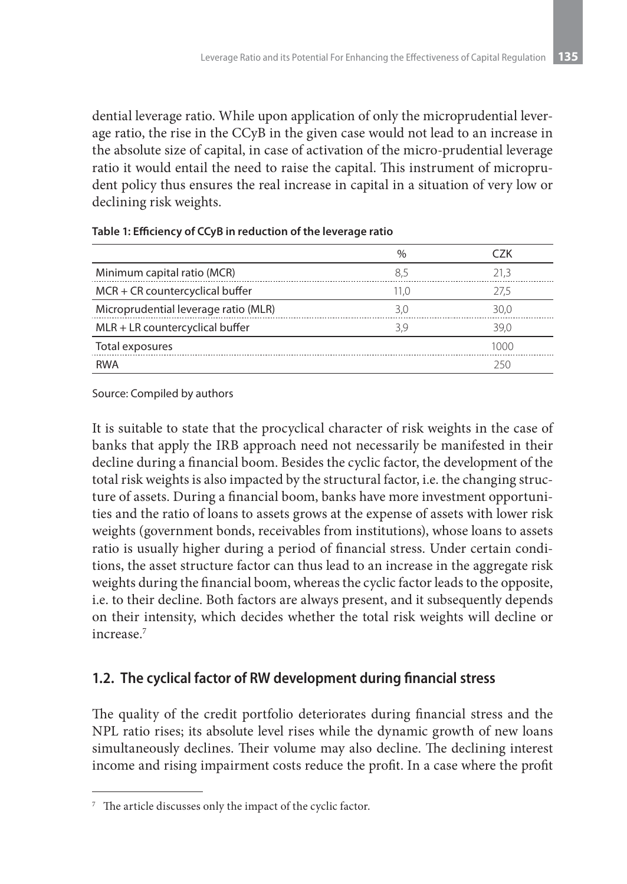dential leverage ratio. While upon application of only the microprudential leverage ratio, the rise in the CCyB in the given case would not lead to an increase in the absolute size of capital, in case of activation of the micro-prudential leverage ratio it would entail the need to raise the capital. This instrument of microprudent policy thus ensures the real increase in capital in a situation of very low or declining risk weights.

|                                      | $\frac{0}{0}$ | C7K  |
|--------------------------------------|---------------|------|
| Minimum capital ratio (MCR)          | 8.5           | 21.3 |
| $MCR + CR$ countercyclical buffer    | 11.0          | 27.5 |
| Microprudential leverage ratio (MLR) | 3.0           | 30.0 |
| $MLR + LR$ countercyclical buffer    | 3.9           | 39.0 |
| Total exposures                      |               | 1000 |
| <b>RWA</b>                           |               | 250  |

#### **Table 1: Efficiency of CCyB in reduction of the leverage ratio**

Source: Compiled by authors

It is suitable to state that the procyclical character of risk weights in the case of banks that apply the IRB approach need not necessarily be manifested in their decline during a financial boom. Besides the cyclic factor, the development of the total risk weights is also impacted by the structural factor, i.e. the changing structure of assets. During a financial boom, banks have more investment opportunities and the ratio of loans to assets grows at the expense of assets with lower risk weights (government bonds, receivables from institutions), whose loans to assets ratio is usually higher during a period of financial stress. Under certain conditions, the asset structure factor can thus lead to an increase in the aggregate risk weights during the financial boom, whereas the cyclic factor leads to the opposite, i.e. to their decline. Both factors are always present, and it subsequently depends on their intensity, which decides whether the total risk weights will decline or increase.7

### **1.2. The cyclical factor of RW development during financial stress**

The quality of the credit portfolio deteriorates during financial stress and the NPL ratio rises; its absolute level rises while the dynamic growth of new loans simultaneously declines. Their volume may also decline. The declining interest income and rising impairment costs reduce the profit. In a case where the profit

 $7$  The article discusses only the impact of the cyclic factor.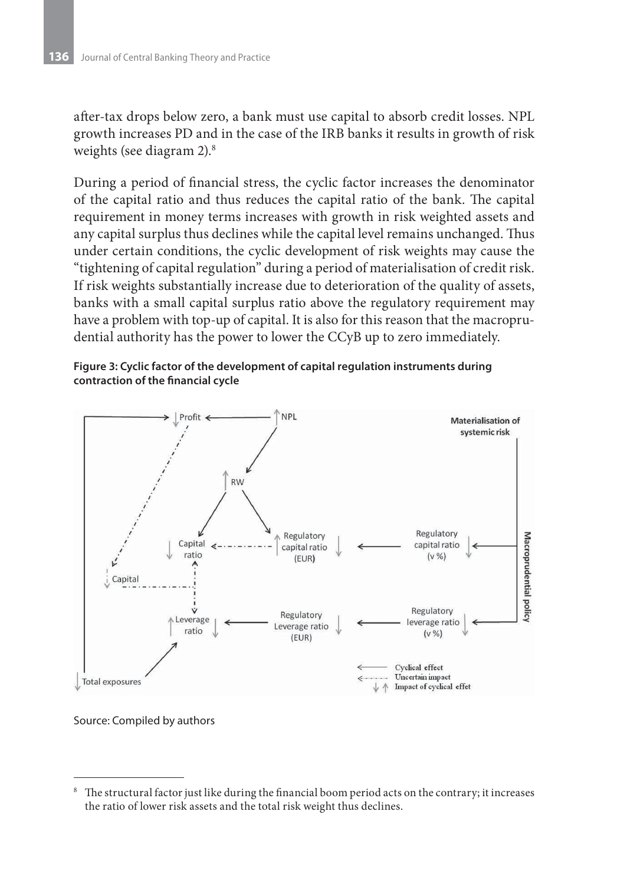after-tax drops below zero, a bank must use capital to absorb credit losses. NPL growth increases PD and in the case of the IRB banks it results in growth of risk weights (see diagram 2).<sup>8</sup>

During a period of financial stress, the cyclic factor increases the denominator of the capital ratio and thus reduces the capital ratio of the bank. The capital requirement in money terms increases with growth in risk weighted assets and any capital surplus thus declines while the capital level remains unchanged. Thus under certain conditions, the cyclic development of risk weights may cause the "tightening of capital regulation" during a period of materialisation of credit risk. If risk weights substantially increase due to deterioration of the quality of assets, banks with a small capital surplus ratio above the regulatory requirement may have a problem with top-up of capital. It is also for this reason that the macroprudential authority has the power to lower the CCyB up to zero immediately.





Source: Compiled by authors

The structural factor just like during the financial boom period acts on the contrary; it increases the ratio of lower risk assets and the total risk weight thus declines.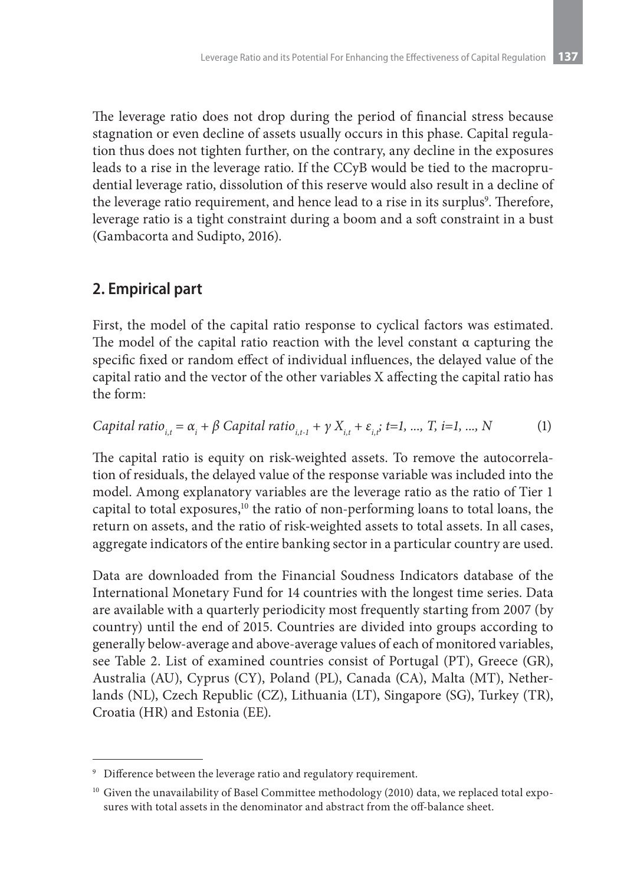The leverage ratio does not drop during the period of financial stress because stagnation or even decline of assets usually occurs in this phase. Capital regulation thus does not tighten further, on the contrary, any decline in the exposures leads to a rise in the leverage ratio. If the CCyB would be tied to the macroprudential leverage ratio, dissolution of this reserve would also result in a decline of the leverage ratio requirement, and hence lead to a rise in its surplus<sup>9</sup>. Therefore, leverage ratio is a tight constraint during a boom and a soft constraint in a bust (Gambacorta and Sudipto, 2016).

# **2. Empirical part**

First, the model of the capital ratio response to cyclical factors was estimated. The model of the capital ratio reaction with the level constant α capturing the specific fixed or random effect of individual influences, the delayed value of the capital ratio and the vector of the other variables X affecting the capital ratio has the form:

\n*Capital ratio*<sub>*i,t*</sub> = 
$$
\alpha_i + \beta
$$
 *Capital ratio*<sub>*i,t-1*</sub> +  $\gamma X_{i,t} + \varepsilon_{i,t}$  *i=1, ..., T, i=1, ..., N*\n

The capital ratio is equity on risk-weighted assets. To remove the autocorrelation of residuals, the delayed value of the response variable was included into the model. Among explanatory variables are the leverage ratio as the ratio of Tier 1 capital to total exposures,<sup>10</sup> the ratio of non-performing loans to total loans, the return on assets, and the ratio of risk-weighted assets to total assets. In all cases, aggregate indicators of the entire banking sector in a particular country are used.

Data are downloaded from the Financial Soudness Indicators database of the International Monetary Fund for 14 countries with the longest time series. Data are available with a quarterly periodicity most frequently starting from 2007 (by country) until the end of 2015. Countries are divided into groups according to generally below-average and above-average values of each of monitored variables, see Table 2. List of examined countries consist of Portugal (PT), Greece (GR), Australia (AU), Cyprus (CY), Poland (PL), Canada (CA), Malta (MT), Netherlands (NL), Czech Republic (CZ), Lithuania (LT), Singapore (SG), Turkey (TR), Croatia (HR) and Estonia (EE).

<sup>9</sup> Difference between the leverage ratio and regulatory requirement.

<sup>&</sup>lt;sup>10</sup> Given the unavailability of Basel Committee methodology (2010) data, we replaced total exposures with total assets in the denominator and abstract from the off-balance sheet.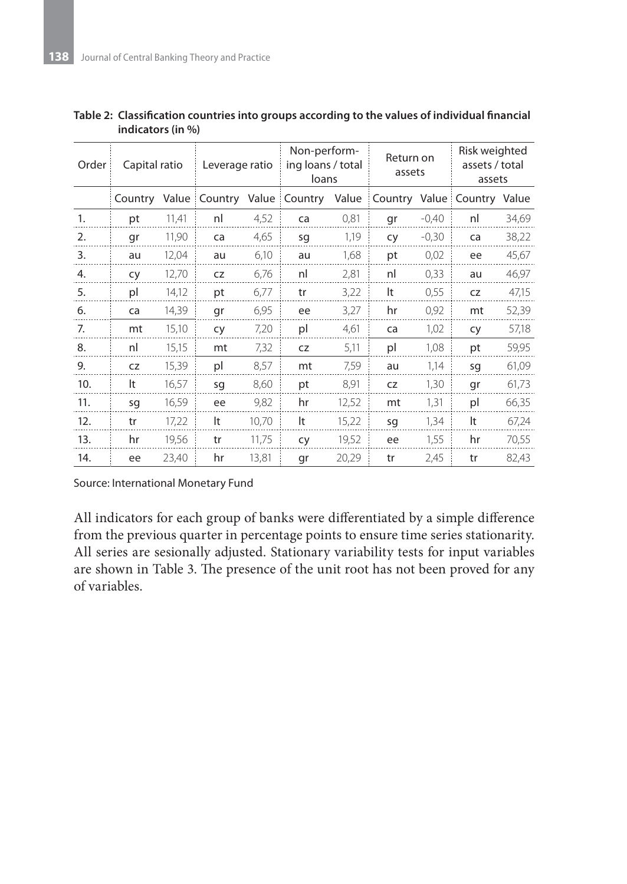| Order | Capital ratio |       | Leverage ratio  |       | Non-perform-<br>ing loans / total<br>loans |       | Return on<br>assets |         | Risk weighted<br>assets / total<br>assets |       |
|-------|---------------|-------|-----------------|-------|--------------------------------------------|-------|---------------------|---------|-------------------------------------------|-------|
|       | Country       |       | Value : Country |       | Value Country                              | Value | Country             |         | Value Country Value                       |       |
| 1.    | pt            | 11,41 | nl              | 4,52  | ca                                         | 0,81  | qr                  | $-0,40$ | nl                                        | 34,69 |
| 2.    | gr            | 11,90 | ca              | 4,65  | sg                                         | 1,19  | cy                  | $-0,30$ | ca                                        | 38,22 |
| 3.    | au            | 12,04 | au              | 6,10  | au                                         | 1,68  | pt                  | 0,02    | ee                                        | 45,67 |
| 4.    | cy            | 12,70 | <b>CZ</b>       | 6,76  | nl                                         | 2,81  | nl                  | 0,33    | au                                        | 46,97 |
| 5.    | pl            | 14,12 | pt              | 6,77  | tr                                         | 3,22  | It                  | 0,55    | CZ.                                       | 47,15 |
| 6.    | ca            | 14,39 | gr              | 6,95  | ee                                         | 3,27  | hr                  | 0,92    | mt                                        | 52,39 |
| 7.    | mt            | 15,10 | cy              | 7,20  | рI                                         | 4,61  | ca                  | 1,02    | cy                                        | 57,18 |
| 8.    | nl            | 15,15 | mt              | 7,32  | <b>CZ</b>                                  | 5,11  | pl                  | 1,08    | pt                                        | 59,95 |
| 9.    | <b>CZ</b>     | 15,39 | pl              | 8,57  | mt                                         | 7,59  | au                  | 1,14    | sq                                        | 61,09 |
| 10.   | It            | 16,57 | sq              | 8,60  | pt                                         | 8,91  | <b>CZ</b>           | 1,30    | qr                                        | 61,73 |
| 11.   | sq            | 16,59 | ee              | 9,82  | hr                                         | 12,52 | mt                  | 1,31    | pl                                        | 66,35 |
| 12.   | tr            | 17,22 | It              | 10,70 | It                                         | 15,22 | sg                  | 1,34    | It                                        | 67,24 |
| 13.   | hr            | 19,56 | tr              | 11,75 | cy                                         | 19,52 | ee                  | 1,55    | hr                                        | 70,55 |
| 14.   | ee            | 23,40 | hr              | 13,81 | qr                                         | 20,29 | tr                  | 2,45    | tr                                        | 82,43 |

**Table 2: Classification countries into groups according to the values of individual financial indicators (in %)**

Source: International Monetary Fund

All indicators for each group of banks were differentiated by a simple difference from the previous quarter in percentage points to ensure time series stationarity. All series are sesionally adjusted. Stationary variability tests for input variables are shown in Table 3. The presence of the unit root has not been proved for any of variables.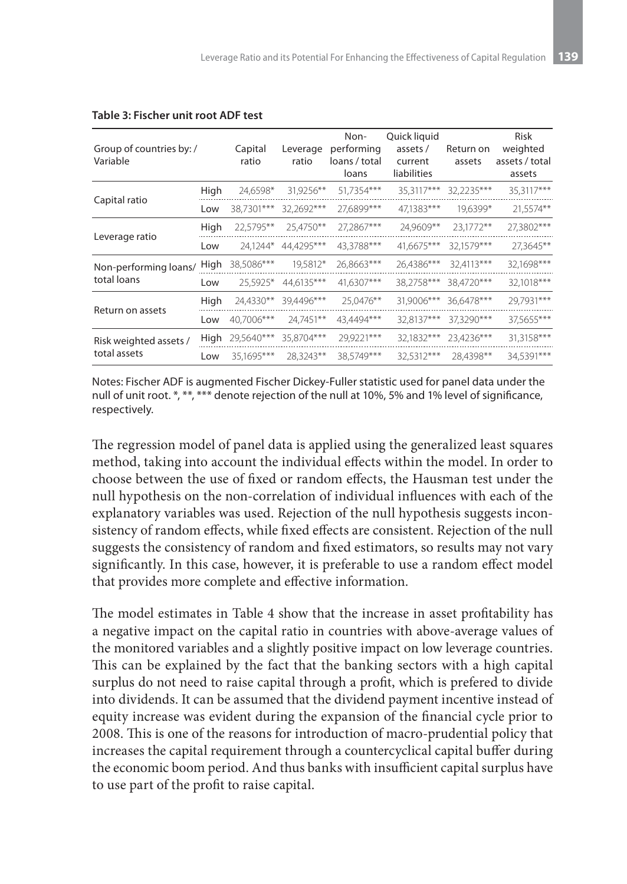| Group of countries by:/<br>Variable |      | Capital<br>ratio | Leverage<br>ratio | Non-<br>performing<br>loans / total<br>loans | Quick liquid<br>assets/<br>current<br>liabilities | Return on<br>assets | <b>Risk</b><br>weighted<br>assets / total<br>assets |
|-------------------------------------|------|------------------|-------------------|----------------------------------------------|---------------------------------------------------|---------------------|-----------------------------------------------------|
|                                     | High | 24,6598*         | 31,9256**         | 51,7354***                                   | 35,3117***                                        | 32.2235***          | 35,3117***                                          |
| Capital ratio                       | Low  | 38,7301***       | 32.2692***        | 27.6899***                                   | 47,1383***                                        | 19,6399*            | 21,5574**                                           |
|                                     | High | 22.5795**        | 25.4750**         | 27,2867***                                   | 24,9609**                                         | 23,1772**           | 27,3802***                                          |
| Leverage ratio                      | Low  | 24.1244*         | 44.4295***        | 43,3788***                                   | 41,6675***                                        | 32,1579***          | 27,3645**                                           |
| Non-performing loans/               | High | 38.5086***       | 19,5812*          | 26.8663***                                   | 26,4386***                                        | 32,4113***          | 32,1698***                                          |
| total loans                         | Low  | 25,5925*         | 44.6135***        | 41,6307***                                   | 38,2758***                                        | 38,4720***          | 32,1018***                                          |
| Return on assets                    | High | 24,4330**        | 39,4496***        | 25,0476**                                    | 31,9006***                                        | 36,6478***          | 29,7931***                                          |
|                                     | Low  | 40.7006***       | 24.7451**         | 43,4494***                                   | 32,8137***                                        | 37.3290***          | 37.5655***                                          |
| Risk weighted assets /              | High | 29,5640***       | 35.8704***        | 29.9221***                                   | 32.1832***                                        | 23.4236***          | 31.3158***                                          |
| total assets                        | Low  | 35.1695***       | 28.3243**         | 38,5749***                                   | 32,5312***                                        | 28.4398**           | 34,5391***                                          |

#### **Table 3: Fischer unit root ADF test**

Notes: Fischer ADF is augmented Fischer Dickey-Fuller statistic used for panel data under the null of unit root. \*, \*\*, \*\*\* denote rejection of the null at 10%, 5% and 1% level of significance, respectively.

The regression model of panel data is applied using the generalized least squares method, taking into account the individual effects within the model. In order to choose between the use of fixed or random effects, the Hausman test under the null hypothesis on the non-correlation of individual influences with each of the explanatory variables was used. Rejection of the null hypothesis suggests inconsistency of random effects, while fixed effects are consistent. Rejection of the null suggests the consistency of random and fixed estimators, so results may not vary significantly. In this case, however, it is preferable to use a random effect model that provides more complete and effective information.

The model estimates in Table 4 show that the increase in asset profitability has a negative impact on the capital ratio in countries with above-average values of the monitored variables and a slightly positive impact on low leverage countries. This can be explained by the fact that the banking sectors with a high capital surplus do not need to raise capital through a profit, which is prefered to divide into dividends. It can be assumed that the dividend payment incentive instead of equity increase was evident during the expansion of the financial cycle prior to 2008. This is one of the reasons for introduction of macro-prudential policy that increases the capital requirement through a countercyclical capital buffer during the economic boom period. And thus banks with insufficient capital surplus have to use part of the profit to raise capital.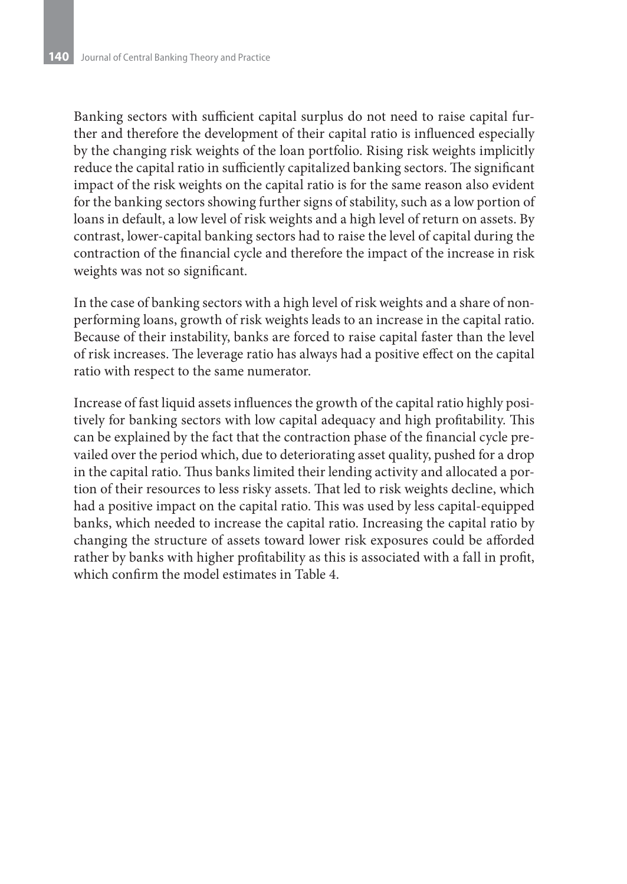Banking sectors with sufficient capital surplus do not need to raise capital further and therefore the development of their capital ratio is influenced especially by the changing risk weights of the loan portfolio. Rising risk weights implicitly reduce the capital ratio in sufficiently capitalized banking sectors. The significant impact of the risk weights on the capital ratio is for the same reason also evident for the banking sectors showing further signs of stability, such as a low portion of loans in default, a low level of risk weights and a high level of return on assets. By contrast, lower-capital banking sectors had to raise the level of capital during the contraction of the financial cycle and therefore the impact of the increase in risk weights was not so significant.

In the case of banking sectors with a high level of risk weights and a share of nonperforming loans, growth of risk weights leads to an increase in the capital ratio. Because of their instability, banks are forced to raise capital faster than the level of risk increases. The leverage ratio has always had a positive effect on the capital ratio with respect to the same numerator.

Increase of fast liquid assets influences the growth of the capital ratio highly positively for banking sectors with low capital adequacy and high profitability. This can be explained by the fact that the contraction phase of the financial cycle prevailed over the period which, due to deteriorating asset quality, pushed for a drop in the capital ratio. Thus banks limited their lending activity and allocated a portion of their resources to less risky assets. That led to risk weights decline, which had a positive impact on the capital ratio. This was used by less capital-equipped banks, which needed to increase the capital ratio. Increasing the capital ratio by changing the structure of assets toward lower risk exposures could be afforded rather by banks with higher profitability as this is associated with a fall in profit, which confirm the model estimates in Table 4.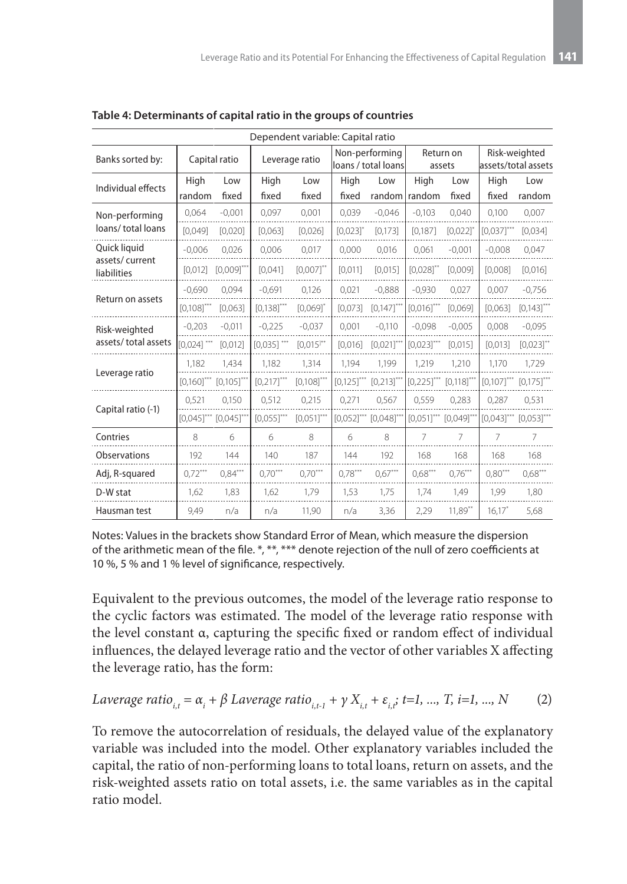| Dependent variable: Capital ratio |               |                        |                 |                |                                       |                        |                         |                        |                                       |              |
|-----------------------------------|---------------|------------------------|-----------------|----------------|---------------------------------------|------------------------|-------------------------|------------------------|---------------------------------------|--------------|
| Banks sorted by:                  | Capital ratio |                        | Leverage ratio  |                | Non-performing<br>loans / total loans |                        | Return on<br>assets     |                        | Risk-weighted<br>lassets/total assets |              |
| Individual effects                | High          | Low                    | High            | Low            | High                                  | Low                    | High                    | Low                    | High                                  | Low          |
|                                   | random        | fixed                  | fixed           | fixed          | fixed                                 | random                 | random                  | fixed                  | fixed                                 | random       |
| Non-performing                    | 0.064         | $-0,001$               | 0,097           | 0,001          | 0,039                                 | $-0,046$               | $-0,103$                | 0,040                  | 0.100                                 | 0,007        |
| loans/total loans                 | [0,049]       | [0,020]                | [0,063]         | [0,026]        | $[0,023]$ <sup>*</sup>                | [0, 173]               | [0, 187]                | $[0,022]$ <sup>*</sup> | $[0,037]$ **                          | [0,034]      |
| Quick liquid                      | $-0.006$      | 0.026                  | 0.006           | 0,017          | 0.000                                 | 0,016                  | 0.061                   | $-0,001$               | $-0,008$                              | 0,047        |
| assets/current<br>liabilities     | [0.012]       | $[0.009]^{**}$         | [0.041]         | $[0.007]$ **   | [0.011]                               | [0.015]                | $[0,028]$ <sup>*</sup>  | [0.009]                | [0,008]                               | [0.016]      |
|                                   | $-0.690$      | 0.094                  | $-0.691$        | 0.126          | 0,021                                 | $-0,888$               | $-0,930$                | 0,027                  | 0,007                                 | $-0,756$     |
| Return on assets                  | $[0,108]$ *** | [0,063]                | $[0,138]^{***}$ | $[0,069]$ *    | [0,073]                               | $[0,147]$ **           | $[0,016]$ ***           | [0,069]                | [0,063]                               | $[0,143]$ ** |
| Risk-weighted                     | $-0,203$      | $-0,011$               | $-0,225$        | $-0,037$       | 0,001                                 | $-0,110$               | $-0,098$                | $-0,005$               | 0,008                                 | $-0,095$     |
| assets/total assets               | $[0,024]$ **  | [0,012]                | $[0,035]$ **    | $[0,015]^{**}$ | [0,016]                               | $[0,021]$ <sup>*</sup> | $[0,023]$ **            | [0,015]                | [0,013]                               | $[0,023]$ ** |
| Leverage ratio                    | 1,182         | 1,434                  | 1,182           | 1,314          | 1,194                                 | 1,199                  | 1,219                   | 1,210                  | 1,170                                 | 1,729        |
|                                   | $[0,160]$ *** | $[0,105]$ <sup>*</sup> | $[0,217]$ ***   | $[0,108]^{**}$ | [0,125]                               | $[0,213]$ <sup>*</sup> | $[0, 225]$ <sup>*</sup> | $[0,118]$ <sup>*</sup> | [0,107]                               | $[0,175]$ ** |
| Capital ratio (-1)                | 0,521         | 0,150                  | 0,512           | 0,215          | 0,271                                 | 0,567                  | 0,559                   | 0,283                  | 0,287                                 | 0,531        |
|                                   | $[0,045]$ *** | $[0,045]$ *            | $[0.055]^{***}$ | $[0,051]$ **   | $[0,052]$ ***                         | $[0,048]$ *            | $[0,051]$ ***           | $[0,049]$ *            | $[0,043]$ **                          | $[0,053]$ ** |
| Contries                          | 8             | 6                      | 6               | 8              | 6                                     | 8                      | 7                       | 7                      | 7                                     | 7            |
| Observations                      | 192           | 144                    | 140             | 187            | 144                                   | 192                    | 168                     | 168                    | 168                                   | 168          |
| Adj, R-squared                    | $0.72***$     | $0,84***$              | $0,70***$       | $0,70***$      | $0,78***$                             | $0,67***$              | $0,68***$               | $0,76***$              | $0,80***$                             | $0,68***$    |
| D-W stat                          | 1,62          | 1,83                   | 1,62            | 1,79           | 1,53                                  | 1,75                   | 1,74                    | 1,49                   | 1,99                                  | 1,80         |
| Hausman test                      | 9,49          | n/a                    | n/a             | 11,90          | n/a                                   | 3,36                   | 2,29                    | $11,89**$              | 16,17"                                | 5,68         |

**Table 4: Determinants of capital ratio in the groups of countries**

Notes: Values in the brackets show Standard Error of Mean, which measure the dispersion of the arithmetic mean of the file. \*, \*\*, \*\*\* denote rejection of the null of zero coefficients at 10 %, 5 % and 1 % level of significance, respectively.

Equivalent to the previous outcomes, the model of the leverage ratio response to the cyclic factors was estimated. The model of the leverage ratio response with the level constant α, capturing the specific fixed or random effect of individual influences, the delayed leverage ratio and the vector of other variables X affecting the leverage ratio, has the form:

Laverage ratio<sub>*i,t*</sub> = α<sub>*i*</sub> + β Laverage ratio<sub>*i,t-1*</sub> + γ 
$$
X_{i,t}
$$
 + ε<sub>*i,t*</sub> *i* = 1, ..., T, *i* = 1, ..., N (2)

To remove the autocorrelation of residuals, the delayed value of the explanatory variable was included into the model. Other explanatory variables included the capital, the ratio of non-performing loans to total loans, return on assets, and the risk-weighted assets ratio on total assets, i.e. the same variables as in the capital ratio model.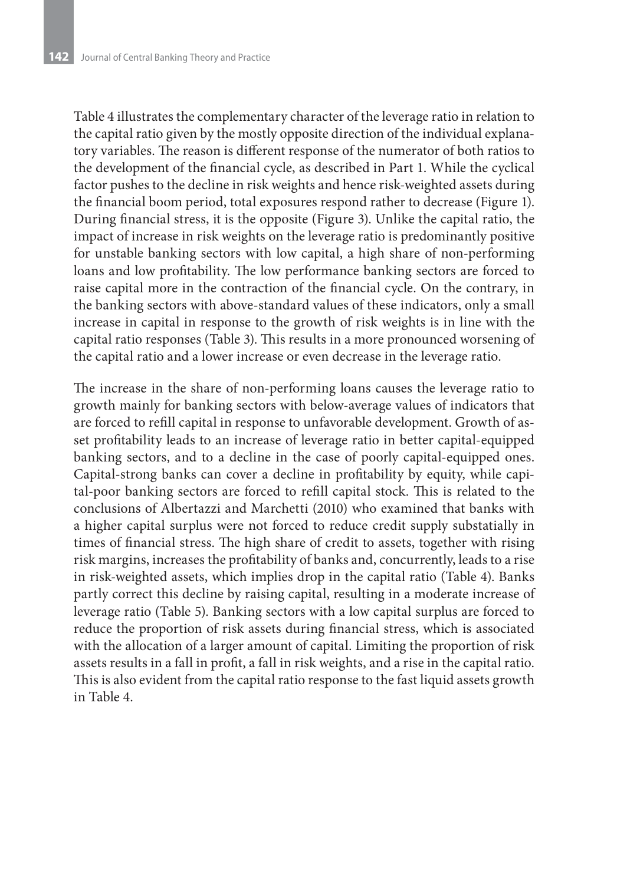Table 4 illustrates the complementary character of the leverage ratio in relation to the capital ratio given by the mostly opposite direction of the individual explanatory variables. The reason is different response of the numerator of both ratios to the development of the financial cycle, as described in Part 1. While the cyclical factor pushes to the decline in risk weights and hence risk-weighted assets during the financial boom period, total exposures respond rather to decrease (Figure 1). During financial stress, it is the opposite (Figure 3). Unlike the capital ratio, the impact of increase in risk weights on the leverage ratio is predominantly positive for unstable banking sectors with low capital, a high share of non-performing loans and low profitability. The low performance banking sectors are forced to raise capital more in the contraction of the financial cycle. On the contrary, in the banking sectors with above-standard values of these indicators, only a small increase in capital in response to the growth of risk weights is in line with the capital ratio responses (Table 3). This results in a more pronounced worsening of the capital ratio and a lower increase or even decrease in the leverage ratio.

The increase in the share of non-performing loans causes the leverage ratio to growth mainly for banking sectors with below-average values of indicators that are forced to refill capital in response to unfavorable development. Growth of asset profitability leads to an increase of leverage ratio in better capital-equipped banking sectors, and to a decline in the case of poorly capital-equipped ones. Capital-strong banks can cover a decline in profitability by equity, while capital-poor banking sectors are forced to refill capital stock. This is related to the conclusions of Albertazzi and Marchetti (2010) who examined that banks with a higher capital surplus were not forced to reduce credit supply substatially in times of financial stress. The high share of credit to assets, together with rising risk margins, increases the profitability of banks and, concurrently, leads to a rise in risk-weighted assets, which implies drop in the capital ratio (Table 4). Banks partly correct this decline by raising capital, resulting in a moderate increase of leverage ratio (Table 5). Banking sectors with a low capital surplus are forced to reduce the proportion of risk assets during financial stress, which is associated with the allocation of a larger amount of capital. Limiting the proportion of risk assets results in a fall in profit, a fall in risk weights, and a rise in the capital ratio. This is also evident from the capital ratio response to the fast liquid assets growth in Table 4.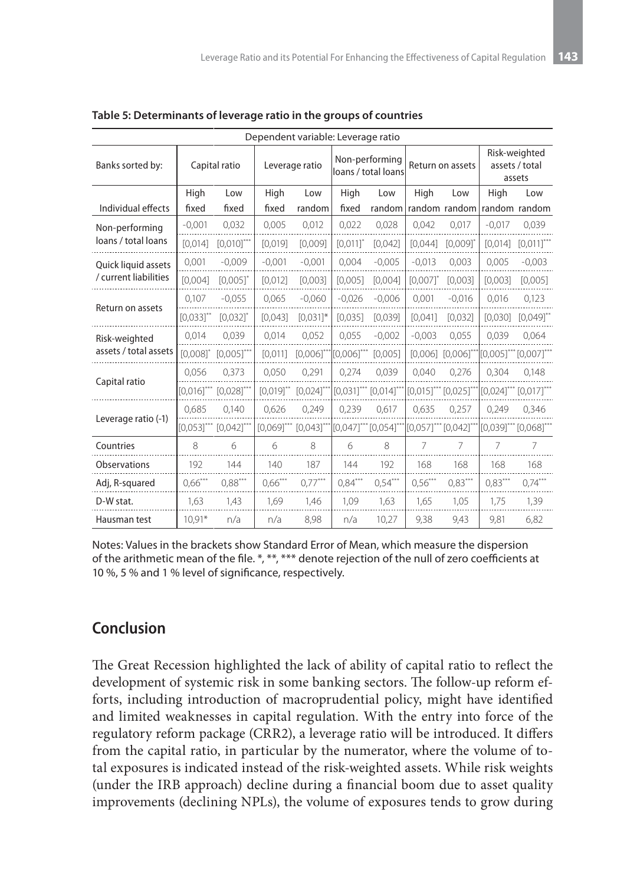| Dependent variable: Leverage ratio |                        |                        |                |             |                                       |                        |                         |                        |                                           |                                |
|------------------------------------|------------------------|------------------------|----------------|-------------|---------------------------------------|------------------------|-------------------------|------------------------|-------------------------------------------|--------------------------------|
| Banks sorted by:                   | Capital ratio          |                        | Leverage ratio |             | Non-performing<br>loans / total loans |                        | Return on assets        |                        | Risk-weighted<br>assets / total<br>assets |                                |
|                                    | High                   | Low                    | High           | Low         | High                                  | Low                    | High                    | Low                    | High                                      | Low                            |
| Individual effects                 | fixed                  | fixed                  | fixed          | random      | fixed                                 | random                 |                         | random random          |                                           | random random                  |
| Non-performing                     | $-0,001$               | 0,032                  | 0,005          | 0,012       | 0,022                                 | 0,028                  | 0,042                   | 0.017                  | $-0.017$                                  | 0,039                          |
| loans / total loans                | [0,014]                | $[0,010]^{***}$        | [0,019]        | [0,009]     | $[0,011]$ <sup>*</sup>                | [0,042]                | [0,044]                 | $[0,009]$ <sup>*</sup> | [0,014]                                   | $[0,011]$ **                   |
| Quick liquid assets                | 0.001                  | $-0.009$               | $-0.001$       | $-0.001$    | 0.004                                 | $-0,005$               | $-0,013$                | 0.003                  | 0.005                                     | $-0,003$                       |
| / current liabilities              | [0,004]                | $[0,005]$ <sup>*</sup> | [0,012]        | [0,003]     | [0,005]                               | [0,004]                | $[0,007]$ *             | [0,003]                | [0,003]                                   | [0,005]                        |
| Return on assets                   | 0,107                  | $-0.055$               | 0,065          | $-0,060$    | $-0,026$                              | $-0,006$               | 0,001                   | $-0,016$               | 0,016                                     | 0,123                          |
|                                    | $[0,033]^{**}$         | $[0,032]$ <sup>*</sup> | [0,043]        | $[0,031]$ * | [0,035]                               | [0,039]                | [0,041]                 | [0,032]                | [0,030]                                   | $[0,049]$ **                   |
| Risk-weighted                      | 0.014                  | 0,039                  | 0.014          | 0,052       | 0,055                                 | $-0,002$               | $-0,003$                | 0,055                  | 0,039                                     | 0,064                          |
| assets / total assets              | $[0,008]$ <sup>*</sup> | $[0,005]^{***}$        | [0,011]        | [0,006]     | $[0,006]^{***}$                       | [0,005]                | [0,006]                 | [0,006]                |                                           | [0,005]*** [0,007]***          |
| Capital ratio                      | 0,056                  | 0.373                  | 0,050          | 0.291       | 0.274                                 | 0.039                  | 0.040                   | 0.276                  | 0.304                                     | 0,148                          |
|                                    | $[0,016]$ ***          | $[0,028]^{**}$         | $[0,019]^{**}$ | [0,024]     | $[0,031]$ ***                         | $[0,014]$ <sup>*</sup> | $[0,015]^{***}$         | [0,025]                | $[0,024]$ ***                             | $[0,017]$ **                   |
|                                    | 0.685                  | 0.140                  | 0.626          | 0,249       | 0.239                                 | 0.617                  | 0.635                   | 0.257                  | 0.249                                     | 0,346                          |
| Leverage ratio (-1)                | $[0,053]^{***}$        | $[0,042]$ **           | $[0,069]$ ***  | [0,043]     | $[0,047]^{***}$ $[0,054]^{*}$         |                        | $[0,057]$ *** $[0,042]$ |                        |                                           | $[0,039]^{***}$ $[0,068]^{**}$ |
| Countries                          | 8                      | 6                      | 6              | 8           | 6                                     | 8                      | 7                       | 7                      | 7                                         | 7                              |
| <b>Observations</b>                | 192                    | 144                    | 140            | 187         | 144                                   | 192                    | 168                     | 168                    | 168                                       | 168                            |
| Adj, R-squared                     | $0,66***$              | $0,88***$              | $0,66***$      | $0,77***$   | $0,84***$                             | $0.54***$              | $0,56***$               | $0,83***$              | $0,83***$                                 | $0.74***$                      |
| D-W stat.                          | 1,63                   | 1,43                   | 1,69           | 1,46        | 1,09                                  | 1,63                   | 1,65                    | 1,05                   | 1,75                                      | 1,39                           |
| Hausman test                       | $10,91*$               | n/a                    | n/a            | 8,98        | n/a                                   | 10,27                  | 9,38                    | 9,43                   | 9,81                                      | 6,82                           |

**Table 5: Determinants of leverage ratio in the groups of countries**

Notes: Values in the brackets show Standard Error of Mean, which measure the dispersion of the arithmetic mean of the file. \*, \*\*, \*\*\* denote rejection of the null of zero coefficients at 10 %, 5 % and 1 % level of significance, respectively.

### **Conclusion**

The Great Recession highlighted the lack of ability of capital ratio to reflect the development of systemic risk in some banking sectors. The follow-up reform efforts, including introduction of macroprudential policy, might have identified and limited weaknesses in capital regulation. With the entry into force of the regulatory reform package (CRR2), a leverage ratio will be introduced. It differs from the capital ratio, in particular by the numerator, where the volume of total exposures is indicated instead of the risk-weighted assets. While risk weights (under the IRB approach) decline during a financial boom due to asset quality improvements (declining NPLs), the volume of exposures tends to grow during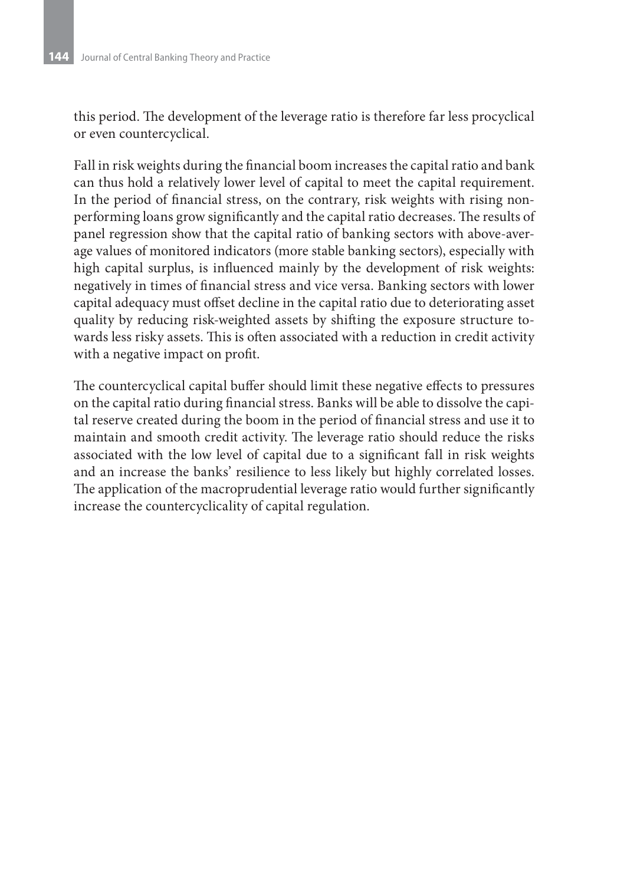this period. The development of the leverage ratio is therefore far less procyclical or even countercyclical.

Fall in risk weights during the financial boom increases the capital ratio and bank can thus hold a relatively lower level of capital to meet the capital requirement. In the period of financial stress, on the contrary, risk weights with rising nonperforming loans grow significantly and the capital ratio decreases. The results of panel regression show that the capital ratio of banking sectors with above-average values of monitored indicators (more stable banking sectors), especially with high capital surplus, is influenced mainly by the development of risk weights: negatively in times of financial stress and vice versa. Banking sectors with lower capital adequacy must offset decline in the capital ratio due to deteriorating asset quality by reducing risk-weighted assets by shifting the exposure structure towards less risky assets. This is often associated with a reduction in credit activity with a negative impact on profit.

The countercyclical capital buffer should limit these negative effects to pressures on the capital ratio during financial stress. Banks will be able to dissolve the capital reserve created during the boom in the period of financial stress and use it to maintain and smooth credit activity. The leverage ratio should reduce the risks associated with the low level of capital due to a significant fall in risk weights and an increase the banks' resilience to less likely but highly correlated losses. The application of the macroprudential leverage ratio would further significantly increase the countercyclicality of capital regulation.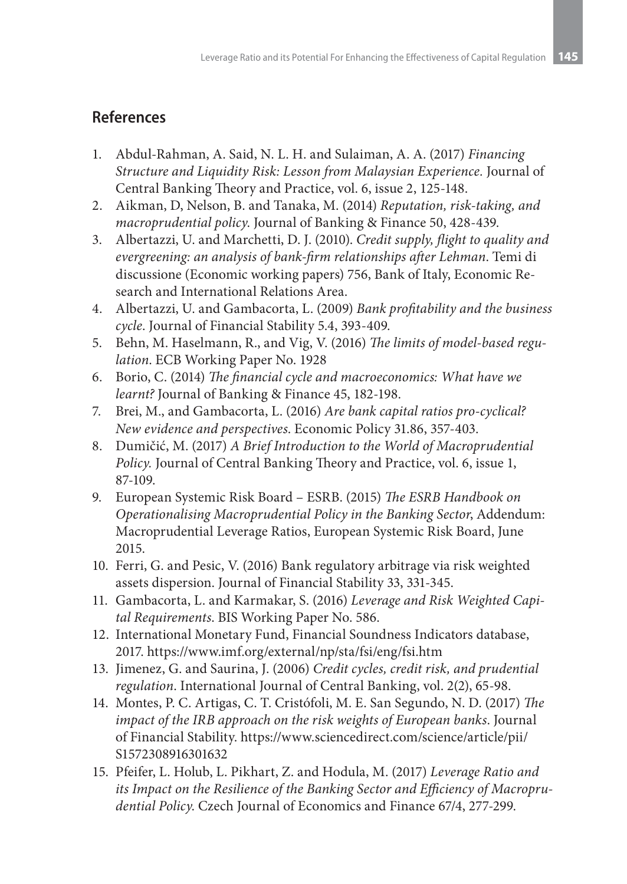# **References**

- 1. Abdul-Rahman, A. Said, N. L. H. and Sulaiman, A. A. (2017) *Financing Structure and Liquidity Risk: Lesson from Malaysian Experience.* Journal of Central Banking Theory and Practice, vol. 6, issue 2, 125-148.
- 2. Aikman, D, Nelson, B. and Tanaka, M. (2014) *Reputation, risk-taking, and macroprudential policy*. Journal of Banking & Finance 50, 428-439.
- 3. Albertazzi, U. and Marchetti, D. J. (2010). *Credit supply, flight to quality and evergreening: an analysis of bank-firm relationships after Lehman*. Temi di discussione (Economic working papers) 756, Bank of Italy, Economic Research and International Relations Area.
- 4. Albertazzi, U. and Gambacorta, L. (2009) *Bank profitability and the business cycle*. Journal of Financial Stability 5.4, 393-409.
- 5. Behn, M. Haselmann, R., and Vig, V. (2016) *The limits of model-based regulation*. ECB Working Paper No. 1928
- 6. Borio, C. (2014) *The financial cycle and macroeconomics: What have we learnt?* Journal of Banking & Finance 45, 182-198.
- 7. Brei, M., and Gambacorta, L. (2016) *Are bank capital ratios pro-cyclical? New evidence and perspectives*. Economic Policy 31.86, 357-403.
- 8. Dumičić, M. (2017) *A Brief Introduction to the World of Macroprudential Policy.* Journal of Central Banking Theory and Practice, vol. 6, issue 1, 87-109.
- 9. European Systemic Risk Board ESRB. (2015) *The ESRB Handbook on Operationalising Macroprudential Policy in the Banking Sector*, Addendum: Macroprudential Leverage Ratios, European Systemic Risk Board, June 2015.
- 10. Ferri, G. and Pesic, V. (2016) Bank regulatory arbitrage via risk weighted assets dispersion. Journal of Financial Stability 33, 331-345.
- 11. Gambacorta, L. and Karmakar, S. (2016) *Leverage and Risk Weighted Capital Requirements*. BIS Working Paper No. 586.
- 12. International Monetary Fund, Financial Soundness Indicators database, 2017. https://www.imf.org/external/np/sta/fsi/eng/fsi.htm
- 13. Jimenez, G. and Saurina, J. (2006) *Credit cycles, credit risk, and prudential regulation*. International Journal of Central Banking, vol. 2(2), 65-98.
- 14. Montes, P. C. Artigas, C. T. Cristófoli, M. E. San Segundo, N. D. (2017) *The impact of the IRB approach on the risk weights of European banks*. Journal of Financial Stability. https://www.sciencedirect.com/science/article/pii/ S1572308916301632
- 15. Pfeifer, L. Holub, L. Pikhart, Z. and Hodula, M. (2017) *Leverage Ratio and its Impact on the Resilience of the Banking Sector and Efficiency of Macroprudential Policy*. Czech Journal of Economics and Finance 67/4, 277-299.